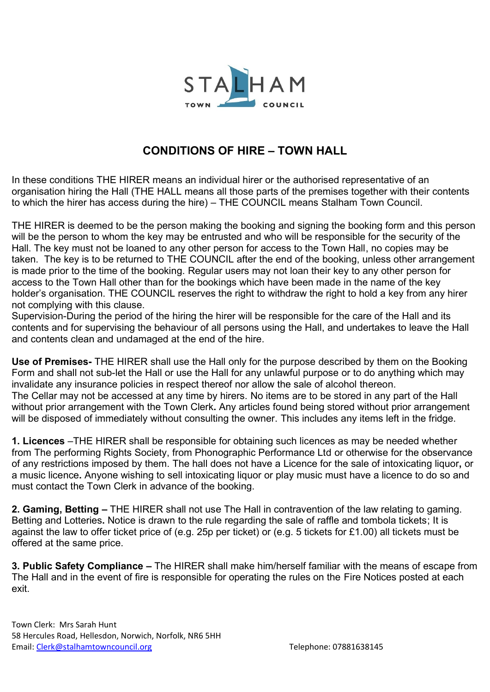

## **CONDITIONS OF HIRE – TOWN HALL**

In these conditions THE HIRER means an individual hirer or the authorised representative of an organisation hiring the Hall (THE HALL means all those parts of the premises together with their contents to which the hirer has access during the hire) – THE COUNCIL means Stalham Town Council.

THE HIRER is deemed to be the person making the booking and signing the booking form and this person will be the person to whom the key may be entrusted and who will be responsible for the security of the Hall. The key must not be loaned to any other person for access to the Town Hall, no copies may be taken. The key is to be returned to THE COUNCIL after the end of the booking, unless other arrangement is made prior to the time of the booking. Regular users may not loan their key to any other person for access to the Town Hall other than for the bookings which have been made in the name of the key holder's organisation. THE COUNCIL reserves the right to withdraw the right to hold a key from any hirer not complying with this clause.

Supervision-During the period of the hiring the hirer will be responsible for the care of the Hall and its contents and for supervising the behaviour of all persons using the Hall, and undertakes to leave the Hall and contents clean and undamaged at the end of the hire.

**Use of Premises-** THE HIRER shall use the Hall only for the purpose described by them on the Booking Form and shall not sub-let the Hall or use the Hall for any unlawful purpose or to do anything which may invalidate any insurance policies in respect thereof nor allow the sale of alcohol thereon. The Cellar may not be accessed at any time by hirers. No items are to be stored in any part of the Hall without prior arrangement with the Town Clerk**.** Any articles found being stored without prior arrangement will be disposed of immediately without consulting the owner. This includes any items left in the fridge.

**1. Licences** –THE HIRER shall be responsible for obtaining such licences as may be needed whether from The performing Rights Society, from Phonographic Performance Ltd or otherwise for the observance of any restrictions imposed by them. The hall does not have a Licence for the sale of intoxicating liquor**,** or a music licence**.** Anyone wishing to sell intoxicating liquor or play music must have a licence to do so and must contact the Town Clerk in advance of the booking.

**2. Gaming, Betting –** THE HIRER shall not use The Hall in contravention of the law relating to gaming. Betting and Lotteries**.** Notice is drawn to the rule regarding the sale of raffle and tombola tickets; It is against the law to offer ticket price of (e.g. 25p per ticket) or (e.g. 5 tickets for £1.00) all tickets must be offered at the same price.

**3. Public Safety Compliance –** The HIRER shall make him/herself familiar with the means of escape from The Hall and in the event of fire is responsible for operating the rules on the Fire Notices posted at each exit.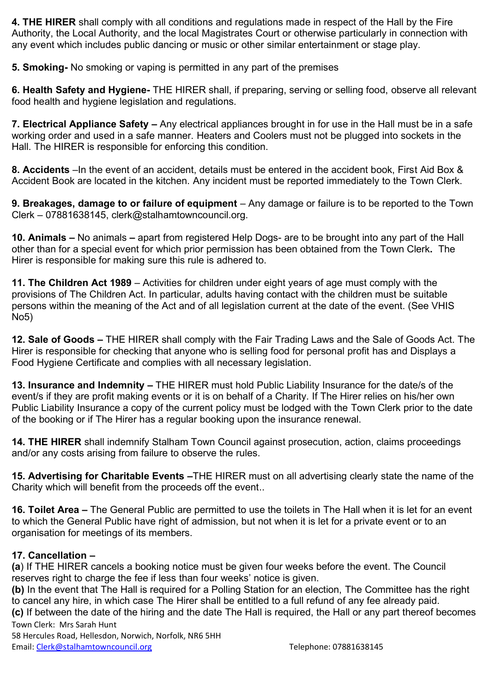**4. THE HIRER** shall comply with all conditions and regulations made in respect of the Hall by the Fire Authority, the Local Authority, and the local Magistrates Court or otherwise particularly in connection with any event which includes public dancing or music or other similar entertainment or stage play.

**5. Smoking-** No smoking or vaping is permitted in any part of the premises

**6. Health Safety and Hygiene-** THE HIRER shall, if preparing, serving or selling food, observe all relevant food health and hygiene legislation and regulations.

**7. Electrical Appliance Safety –** Any electrical appliances brought in for use in the Hall must be in a safe working order and used in a safe manner. Heaters and Coolers must not be plugged into sockets in the Hall. The HIRER is responsible for enforcing this condition.

**8. Accidents** –In the event of an accident, details must be entered in the accident book, First Aid Box & Accident Book are located in the kitchen. Any incident must be reported immediately to the Town Clerk.

**9. Breakages, damage to or failure of equipment** – Any damage or failure is to be reported to the Town Clerk – 07881638145, clerk@stalhamtowncouncil.org.

**10. Animals –** No animals **–** apart from registered Help Dogs- are to be brought into any part of the Hall other than for a special event for which prior permission has been obtained from the Town Clerk**.** The Hirer is responsible for making sure this rule is adhered to.

**11. The Children Act 1989** – Activities for children under eight years of age must comply with the provisions of The Children Act. In particular, adults having contact with the children must be suitable persons within the meaning of the Act and of all legislation current at the date of the event. (See VHIS No5)

**12. Sale of Goods –** THE HIRER shall comply with the Fair Trading Laws and the Sale of Goods Act. The Hirer is responsible for checking that anyone who is selling food for personal profit has and Displays a Food Hygiene Certificate and complies with all necessary legislation.

**13. Insurance and Indemnity –** THE HIRER must hold Public Liability Insurance for the date/s of the event/s if they are profit making events or it is on behalf of a Charity. If The Hirer relies on his/her own Public Liability Insurance a copy of the current policy must be lodged with the Town Clerk prior to the date of the booking or if The Hirer has a regular booking upon the insurance renewal.

**14. THE HIRER** shall indemnify Stalham Town Council against prosecution, action, claims proceedings and/or any costs arising from failure to observe the rules.

**15. Advertising for Charitable Events –**THE HIRER must on all advertising clearly state the name of the Charity which will benefit from the proceeds off the event..

**16. Toilet Area –** The General Public are permitted to use the toilets in The Hall when it is let for an event to which the General Public have right of admission, but not when it is let for a private event or to an organisation for meetings of its members.

## **17. Cancellation –**

**(a**) If THE HIRER cancels a booking notice must be given four weeks before the event. The Council reserves right to charge the fee if less than four weeks' notice is given.

**(b)** In the event that The Hall is required for a Polling Station for an election, The Committee has the right to cancel any hire, in which case The Hirer shall be entitled to a full refund of any fee already paid.

Town Clerk: Mrs Sarah Hunt **(c)** If between the date of the hiring and the date The Hall is required, the Hall or any part thereof becomes

58 Hercules Road, Hellesdon, Norwich, Norfolk, NR6 5HH Email: [Clerk@stalhamtowncouncil.org](mailto:Clerk@stalhamtowncouncil.org) Telephone: 07881638145